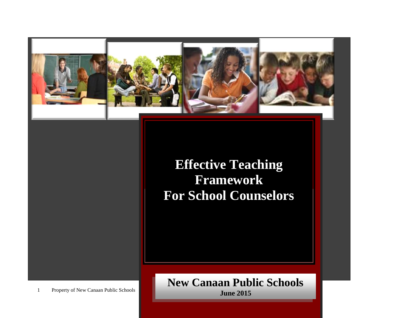

**Effective Teaching Framework For School Counselors**

1 Property of New Canaan Public Schools

**Physical Therapists New Canaan Public Schools June 2015**

**For Occupational and**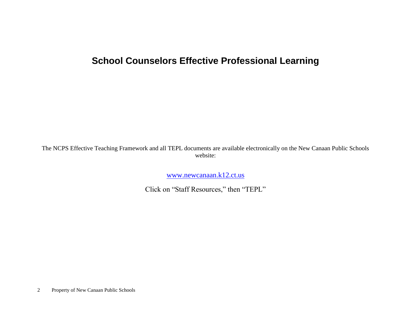# **School Counselors Effective Professional Learning**

The NCPS Effective Teaching Framework and all TEPL documents are available electronically on the New Canaan Public Schools website:

[www.newcanaan.k12.ct.us](http://www.newcanaan.k12.ct.us/)

Click on "Staff Resources," then "TEPL"

2 Property of New Canaan Public Schools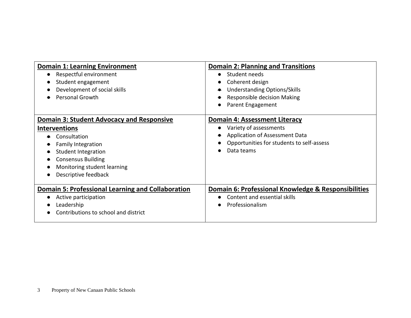| <b>Domain 1: Learning Environment</b>                                                                                                                                                                                                   | <b>Domain 2: Planning and Transitions</b>                                                                                                                                |
|-----------------------------------------------------------------------------------------------------------------------------------------------------------------------------------------------------------------------------------------|--------------------------------------------------------------------------------------------------------------------------------------------------------------------------|
| Respectful environment<br>Student engagement<br>Development of social skills<br><b>Personal Growth</b>                                                                                                                                  | Student needs<br>$\bullet$<br>Coherent design<br><b>Understanding Options/Skills</b><br>Responsible decision Making<br>Parent Engagement<br>$\bullet$                    |
| <b>Domain 3: Student Advocacy and Responsive</b><br><b>Interventions</b><br>Consultation<br><b>Family Integration</b><br><b>Student Integration</b><br><b>Consensus Building</b><br>Monitoring student learning<br>Descriptive feedback | <b>Domain 4: Assessment Literacy</b><br>Variety of assessments<br>Application of Assessment Data<br>Opportunities for students to self-assess<br>Data teams<br>$\bullet$ |
| <b>Domain 5: Professional Learning and Collaboration</b><br>Active participation<br>Leadership<br>Contributions to school and district                                                                                                  | Domain 6: Professional Knowledge & Responsibilities<br>Content and essential skills<br>Professionalism                                                                   |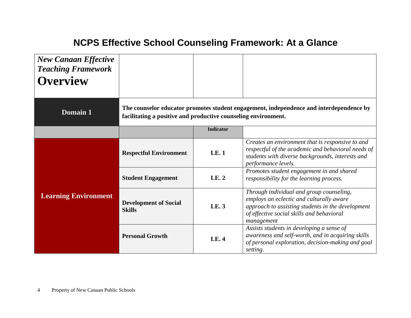# **NCPS Effective School Counseling Framework: At a Glance**

| <b>New Canaan Effective</b><br><b>Teaching Framework</b><br><b>Overview</b> |                                                                |                  |                                                                                                                                                                                                      |
|-----------------------------------------------------------------------------|----------------------------------------------------------------|------------------|------------------------------------------------------------------------------------------------------------------------------------------------------------------------------------------------------|
| <b>Domain 1</b>                                                             | facilitating a positive and productive counseling environment. |                  | The counselor educator promotes student engagement, independence and interdependence by                                                                                                              |
|                                                                             |                                                                | <b>Indicator</b> |                                                                                                                                                                                                      |
|                                                                             | <b>Respectful Environment</b>                                  | LE.1             | Creates an environment that is responsive to and<br>respectful of the academic and behavioral needs of<br>students with diverse backgrounds, interests and<br>performance levels.                    |
|                                                                             | <b>Student Engagement</b>                                      | LE.2             | Promotes student engagement in and shared<br>responsibility for the learning process.                                                                                                                |
| <b>Learning Environment</b>                                                 | <b>Development of Social</b><br><b>Skills</b>                  | LE. 3            | Through individual and group counseling,<br>employs an eclectic and culturally aware<br>approach to assisting students in the development<br>of effective social skills and behavioral<br>management |
|                                                                             | <b>Personal Growth</b>                                         | <b>LE.4</b>      | Assists students in developing a sense of<br>awareness and self-worth, and in acquiring skills<br>of personal exploration, decision-making and goal<br>setting.                                      |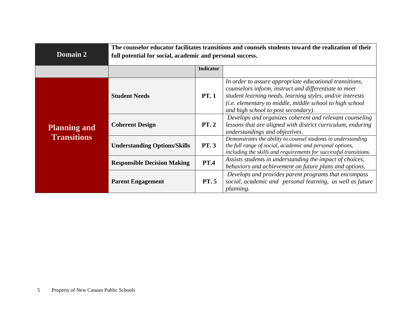| Domain 2                                  | The counselor educator facilitates transitions and counsels students toward the realization of their<br>full potential for social, academic and personal success. |                  |                                                                                                                                                                                                                                                                                  |  |
|-------------------------------------------|-------------------------------------------------------------------------------------------------------------------------------------------------------------------|------------------|----------------------------------------------------------------------------------------------------------------------------------------------------------------------------------------------------------------------------------------------------------------------------------|--|
|                                           |                                                                                                                                                                   | <b>Indicator</b> |                                                                                                                                                                                                                                                                                  |  |
|                                           | <b>Student Needs</b>                                                                                                                                              | <b>PT.1</b>      | In order to assure appropriate educational transitions,<br>counselors inform, instruct and differentiate to meet<br>student learning needs, learning styles, and/or interests<br>(i.e. elementary to middle, middle school to high school<br>and high school to post secondary). |  |
| <b>Planning and</b><br><b>Transitions</b> | <b>Coherent Design</b>                                                                                                                                            | PT.2             | Develops and organizes coherent and relevant counseling<br>lessons that are aligned with district curriculum, enduring<br>understandings and objectives.                                                                                                                         |  |
|                                           | <b>Understanding Options/Skills</b>                                                                                                                               | <b>PT.3</b>      | Demonstrates the ability to counsel students in understanding<br>the full range of social, academic and personal options,<br>including the skills and requirements for successful transitions.                                                                                   |  |
|                                           | <b>Responsible Decision Making</b>                                                                                                                                | <b>PT.4</b>      | Assists students in understanding the impact of choices,<br>behaviors and achievement on future plans and options.                                                                                                                                                               |  |
|                                           | <b>Parent Engagement</b>                                                                                                                                          | <b>PT.5</b>      | Develops and provides parent programs that encompass<br>social, academic and personal learning, as well as future<br><i>planning.</i>                                                                                                                                            |  |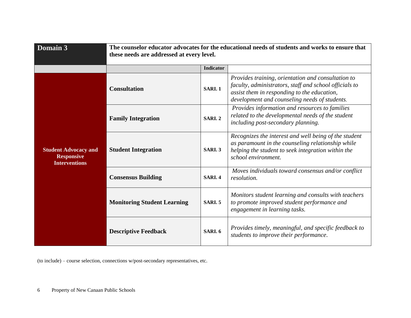| Domain 3                                                                 | The counselor educator advocates for the educational needs of students and works to ensure that<br>these needs are addressed at every level. |                  |                                                                                                                                                                                                              |  |
|--------------------------------------------------------------------------|----------------------------------------------------------------------------------------------------------------------------------------------|------------------|--------------------------------------------------------------------------------------------------------------------------------------------------------------------------------------------------------------|--|
|                                                                          |                                                                                                                                              | <b>Indicator</b> |                                                                                                                                                                                                              |  |
|                                                                          | <b>Consultation</b>                                                                                                                          | SARI.1           | Provides training, orientation and consultation to<br>faculty, administrators, staff and school officials to<br>assist them in responding to the education,<br>development and counseling needs of students. |  |
|                                                                          | <b>Family Integration</b>                                                                                                                    | <b>SARI.2</b>    | Provides information and resources to families<br>related to the developmental needs of the student<br>including post-secondary planning.                                                                    |  |
| <b>Student Advocacy and</b><br><b>Responsive</b><br><b>Interventions</b> | <b>Student Integration</b>                                                                                                                   | SARI. 3          | Recognizes the interest and well being of the student<br>as paramount in the counseling relationship while<br>helping the student to seek integration within the<br>school environment.                      |  |
|                                                                          | <b>Consensus Building</b>                                                                                                                    | SARI. 4          | Moves individuals toward consensus and/or conflict<br>resolution.                                                                                                                                            |  |
|                                                                          | <b>Monitoring Student Learning</b>                                                                                                           | SARI.5           | Monitors student learning and consults with teachers<br>to promote improved student performance and<br>engagement in learning tasks.                                                                         |  |
|                                                                          | <b>Descriptive Feedback</b>                                                                                                                  | <b>SARI. 6</b>   | Provides timely, meaningful, and specific feedback to<br>students to improve their performance.                                                                                                              |  |

(to include) – course selection, connections w/post-secondary representatives, etc.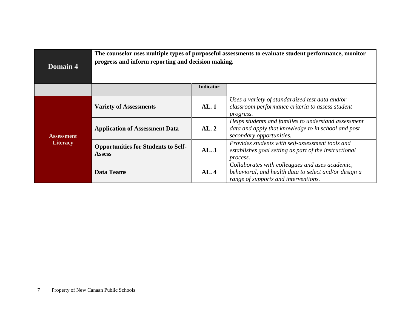| Domain 4          | The counselor uses multiple types of purposeful assessments to evaluate student performance, monitor<br>progress and inform reporting and decision making. |                  |                                                                                                                                                  |
|-------------------|------------------------------------------------------------------------------------------------------------------------------------------------------------|------------------|--------------------------------------------------------------------------------------------------------------------------------------------------|
|                   |                                                                                                                                                            | <b>Indicator</b> |                                                                                                                                                  |
|                   | <b>Variety of Assessments</b>                                                                                                                              | AL.1             | Uses a variety of standardized test data and/or<br>classroom performance criteria to assess student<br>progress.                                 |
| <b>Assessment</b> | <b>Application of Assessment Data</b>                                                                                                                      | AL.2             | Helps students and families to understand assessment<br>data and apply that knowledge to in school and post<br>secondary opportunities.          |
| Literacy          | <b>Opportunities for Students to Self-</b><br>AL.3<br><b>Assess</b>                                                                                        |                  | Provides students with self-assessment tools and<br>establishes goal setting as part of the instructional<br>process.                            |
|                   | <b>Data Teams</b>                                                                                                                                          | AL.4             | Collaborates with colleagues and uses academic,<br>behavioral, and health data to select and/or design a<br>range of supports and interventions. |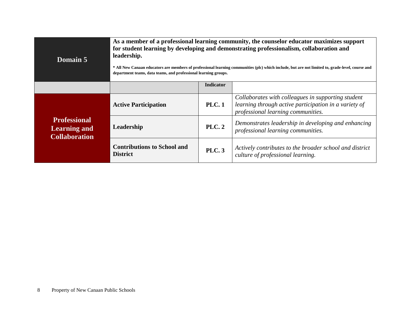| Domain 5                                                           | As a member of a professional learning community, the counselor educator maximizes support<br>for student learning by developing and demonstrating professionalism, collaboration and<br>leadership.<br>* All New Canaan educators are members of professional learning communities (plc) which include, but are not limited to, grade-level, course and<br>department teams, data teams, and professional learning groups. |                                                                                                                                                                   |                                                                                              |  |
|--------------------------------------------------------------------|-----------------------------------------------------------------------------------------------------------------------------------------------------------------------------------------------------------------------------------------------------------------------------------------------------------------------------------------------------------------------------------------------------------------------------|-------------------------------------------------------------------------------------------------------------------------------------------------------------------|----------------------------------------------------------------------------------------------|--|
|                                                                    | <b>Indicator</b>                                                                                                                                                                                                                                                                                                                                                                                                            |                                                                                                                                                                   |                                                                                              |  |
|                                                                    | <b>Active Participation</b>                                                                                                                                                                                                                                                                                                                                                                                                 | Collaborates with colleagues in supporting student<br>learning through active participation in a variety of<br><b>PLC.1</b><br>professional learning communities. |                                                                                              |  |
| <b>Professional</b><br><b>Learning and</b><br><b>Collaboration</b> | Leadership                                                                                                                                                                                                                                                                                                                                                                                                                  | Demonstrates leadership in developing and enhancing<br><b>PLC. 2</b><br>professional learning communities.                                                        |                                                                                              |  |
|                                                                    | <b>Contributions to School and</b><br><b>District</b>                                                                                                                                                                                                                                                                                                                                                                       | <b>PLC.3</b>                                                                                                                                                      | Actively contributes to the broader school and district<br>culture of professional learning. |  |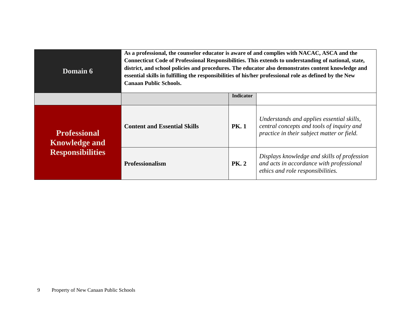| Domain 6                                    | As a professional, the counselor educator is aware of and complies with NACAC, ASCA and the<br>Connecticut Code of Professional Responsibilities. This extends to understanding of national, state,<br>district, and school policies and procedures. The educator also demonstrates content knowledge and<br>essential skills in fulfilling the responsibilities of his/her professional role as defined by the New<br><b>Canaan Public Schools.</b> |             |                                                                                                                                      |
|---------------------------------------------|------------------------------------------------------------------------------------------------------------------------------------------------------------------------------------------------------------------------------------------------------------------------------------------------------------------------------------------------------------------------------------------------------------------------------------------------------|-------------|--------------------------------------------------------------------------------------------------------------------------------------|
|                                             | <b>Indicator</b>                                                                                                                                                                                                                                                                                                                                                                                                                                     |             |                                                                                                                                      |
| <b>Professional</b><br><b>Knowledge and</b> | <b>Content and Essential Skills</b>                                                                                                                                                                                                                                                                                                                                                                                                                  | <b>PK.1</b> | Understands and applies essential skills,<br>central concepts and tools of inquiry and<br>practice in their subject matter or field. |
| <b>Responsibilities</b>                     | <b>Professionalism</b>                                                                                                                                                                                                                                                                                                                                                                                                                               | <b>PK.2</b> | Displays knowledge and skills of profession<br>and acts in accordance with professional<br>ethics and role responsibilities.         |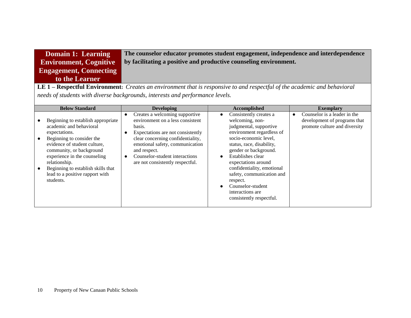| Domain 1: Learning            | The counselor educator promotes student engagement, independence and interdependence |
|-------------------------------|--------------------------------------------------------------------------------------|
| <b>Environment, Cognitive</b> | by facilitating a positive and productive counseling environment.                    |
| <b>Engagement, Connecting</b> |                                                                                      |
| to the Learner                |                                                                                      |

**LE 1 – Respectful Environment:** *Creates an environment that is responsive to and respectful of the academic and behavioral needs of students with diverse backgrounds, interests and performance levels.*

| <b>Below Standard</b>                                                                                                                                                                                                                                                                                                       | <b>Developing</b>                                                                                                                                                                                                                                                                            | Accomplished                                                                                                                                                                                                                                                                                                                                                                                                   | <b>Exemplary</b>                                                                              |
|-----------------------------------------------------------------------------------------------------------------------------------------------------------------------------------------------------------------------------------------------------------------------------------------------------------------------------|----------------------------------------------------------------------------------------------------------------------------------------------------------------------------------------------------------------------------------------------------------------------------------------------|----------------------------------------------------------------------------------------------------------------------------------------------------------------------------------------------------------------------------------------------------------------------------------------------------------------------------------------------------------------------------------------------------------------|-----------------------------------------------------------------------------------------------|
| Beginning to establish appropriate<br>academic and behavioral<br>expectations.<br>Beginning to consider the<br>$\bullet$<br>evidence of student culture,<br>community, or background<br>experience in the counseling<br>relationship.<br>Beginning to establish skills that<br>lead to a positive rapport with<br>students. | Creates a welcoming supportive<br>$\bullet$<br>environment on a less consistent<br>basis.<br>Expectations are not consistently<br>clear concerning confidentiality,<br>emotional safety, communication<br>and respect.<br>Counselor-student interactions<br>are not consistently respectful. | Consistently creates a<br>$\bullet$<br>welcoming, non-<br>judgmental, supportive<br>environment regardless of<br>socio-economic level,<br>status, race, disability,<br>gender or background.<br>Establishes clear<br>$\bullet$<br>expectations around<br>confidentiality, emotional<br>safety, communication and<br>respect.<br>Counselor-student<br>$\bullet$<br>interactions are<br>consistently respectful. | Counselor is a leader in the<br>development of programs that<br>promote culture and diversity |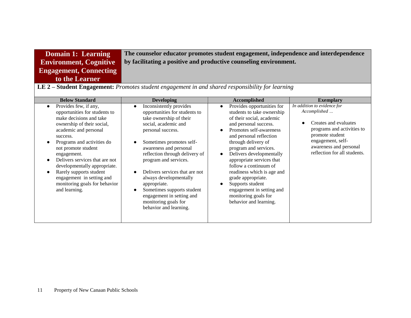| <b>Domain 1: Learning</b>                                                                               | The counselor educator promotes student engagement, independence and interdependence |  |
|---------------------------------------------------------------------------------------------------------|--------------------------------------------------------------------------------------|--|
| <b>Environment, Cognitive</b>                                                                           | by facilitating a positive and productive counseling environment.                    |  |
| <b>Engagement, Connecting</b>                                                                           |                                                                                      |  |
| to the Learner                                                                                          |                                                                                      |  |
| <b>LE 2 – Student Engagement:</b> Promotes student engagement in and shared responsibility for learning |                                                                                      |  |

| ---<br>D <b>iuucht Engagemeni.</b> I romotes suaeni engagemeni in ana snarca responsionity for tearning |                       |                         |                            |                             |
|---------------------------------------------------------------------------------------------------------|-----------------------|-------------------------|----------------------------|-----------------------------|
|                                                                                                         | <b>Below Standard</b> | Developing              | <b>Accomplished</b>        | <b>Exemplary</b>            |
|                                                                                                         | Provides few, if any, | Inconsistently provides | Provides opportunities for | In addition to evidence for |

| Provides few, if any,<br>opportunities for students to<br>make decisions and take<br>ownership of their social,<br>academic and personal<br>success.<br>Programs and activities do<br>not promote student<br>engagement.<br>Delivers services that are not<br>developmentally appropriate.<br>Rarely supports student<br>engagement in setting and<br>monitoring goals for behavior<br>and learning. | Inconsistently provides<br>opportunities for students to<br>take ownership of their<br>social, academic and<br>personal success.<br>Sometimes promotes self-<br>awareness and personal<br>reflection through delivery of<br>program and services.<br>Delivers services that are not<br>always developmentally<br>appropriate.<br>Sometimes supports student<br>engagement in setting and<br>monitoring goals for<br>behavior and learning. | Provides opportunities for<br>$\bullet$<br>students to take ownership<br>of their social, academic<br>and personal success.<br>Promotes self-awareness<br>$\bullet$<br>and personal reflection<br>through delivery of<br>program and services.<br>Delivers developmentally<br>$\bullet$<br>appropriate services that<br>follow a continuum of<br>readiness which is age and<br>grade appropriate.<br>Supports student<br>engagement in setting and<br>monitoring goals for<br>behavior and learning. | In addition to evidence for<br>Accomplished<br>Creates and evaluates<br>programs and activities to<br>promote student<br>engagement, self-<br>awareness and personal<br>reflection for all students. |
|------------------------------------------------------------------------------------------------------------------------------------------------------------------------------------------------------------------------------------------------------------------------------------------------------------------------------------------------------------------------------------------------------|--------------------------------------------------------------------------------------------------------------------------------------------------------------------------------------------------------------------------------------------------------------------------------------------------------------------------------------------------------------------------------------------------------------------------------------------|------------------------------------------------------------------------------------------------------------------------------------------------------------------------------------------------------------------------------------------------------------------------------------------------------------------------------------------------------------------------------------------------------------------------------------------------------------------------------------------------------|------------------------------------------------------------------------------------------------------------------------------------------------------------------------------------------------------|
|------------------------------------------------------------------------------------------------------------------------------------------------------------------------------------------------------------------------------------------------------------------------------------------------------------------------------------------------------------------------------------------------------|--------------------------------------------------------------------------------------------------------------------------------------------------------------------------------------------------------------------------------------------------------------------------------------------------------------------------------------------------------------------------------------------------------------------------------------------|------------------------------------------------------------------------------------------------------------------------------------------------------------------------------------------------------------------------------------------------------------------------------------------------------------------------------------------------------------------------------------------------------------------------------------------------------------------------------------------------------|------------------------------------------------------------------------------------------------------------------------------------------------------------------------------------------------------|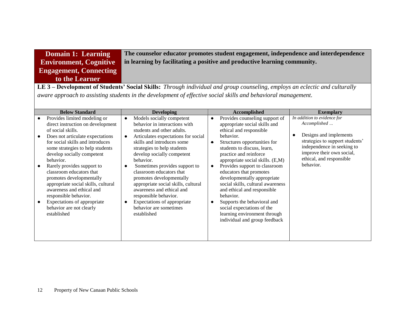| Domain 1: Learning            | The cou   |
|-------------------------------|-----------|
| <b>Environment, Cognitive</b> | in learni |
| <b>Engagement, Connecting</b> |           |
| to the Learner                |           |

**The conserverty conserverty in the conserverty independence and interdependence** ing by facilitating a positive and productive learning community.

**LE 3 – Development of Students' Social Skills:** *Through individual and group counseling, employs an eclectic and culturally aware approach to assisting students in the development of effective social skills and behavioral management.*

| <b>Below Standard</b>                                                                                                                                                                                                                                                                                                                                                                                                                                                                                      | <b>Developing</b>                                                                                                                                                                                                                                                                                                                                                                                                                                                                                                                    | Accomplished                                                                                                                                                                                                                                                                                                                                                                                                                                                                                                                                                                          | <b>Exemplary</b>                                                                                                                                                                                             |
|------------------------------------------------------------------------------------------------------------------------------------------------------------------------------------------------------------------------------------------------------------------------------------------------------------------------------------------------------------------------------------------------------------------------------------------------------------------------------------------------------------|--------------------------------------------------------------------------------------------------------------------------------------------------------------------------------------------------------------------------------------------------------------------------------------------------------------------------------------------------------------------------------------------------------------------------------------------------------------------------------------------------------------------------------------|---------------------------------------------------------------------------------------------------------------------------------------------------------------------------------------------------------------------------------------------------------------------------------------------------------------------------------------------------------------------------------------------------------------------------------------------------------------------------------------------------------------------------------------------------------------------------------------|--------------------------------------------------------------------------------------------------------------------------------------------------------------------------------------------------------------|
| Provides limited modeling or<br>direct instruction on development<br>of social skills.<br>Does not articulate expectations<br>for social skills and introduces<br>some strategies to help students<br>develop socially competent<br>behavior.<br>Rarely provides support to<br>classroom educators that<br>promotes developmentally<br>appropriate social skills, cultural<br>awareness and ethical and<br>responsible behavior.<br>Expectations of appropriate<br>behavior are not clearly<br>established | Models socially competent<br>$\bullet$<br>behavior in interactions with<br>students and other adults.<br>Articulates expectations for social<br>$\bullet$<br>skills and introduces some<br>strategies to help students<br>develop socially competent<br>behavior.<br>Sometimes provides support to<br>classroom educators that<br>promotes developmentally<br>appropriate social skills, cultural<br>awareness and ethical and<br>responsible behavior.<br>Expectations of appropriate<br>٠<br>behavior are sometimes<br>established | Provides counseling support of<br>$\bullet$<br>appropriate social skills and<br>ethical and responsible<br>behavior.<br>Structures opportunities for<br>$\bullet$<br>students to discuss, learn,<br>practice and reinforce<br>appropriate social skills. (E,M)<br>Provides support to classroom<br>$\bullet$<br>educators that promotes<br>developmentally appropriate<br>social skills, cultural awareness<br>and ethical and responsible<br>behavior.<br>Supports the behavioral and<br>social expectations of the<br>learning environment through<br>individual and group feedback | In addition to evidence for<br>Accomplished<br>Designs and implements<br>strategies to support students'<br>independence in seeking to<br>improve their own social,<br>ethical, and responsible<br>behavior. |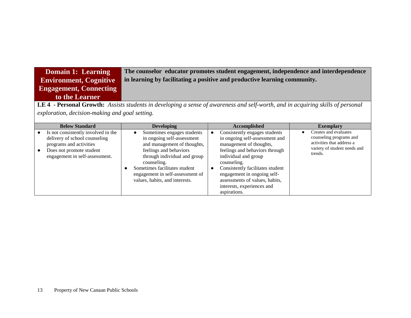### **Domain 1: Learning Environment, Cognitive Engagement, Connecting to the Learner The counselor educator promotes student engagement, independence and interdependence in learning by facilitating a positive and productive learning community.**

**LE 4 - Personal Growth:** *Assists students in developing a sense of awareness and self-worth, and in acquiring skills of personal exploration, decision-making and goal setting.*

| <b>Below Standard</b>                                                                                                                                         | <b>Developing</b>                                                                                                                                                                                                                                                       | <b>Accomplished</b>                                                                                                                                                                                                                                                                                                                      | <b>Exemplary</b>                                                                                                         |
|---------------------------------------------------------------------------------------------------------------------------------------------------------------|-------------------------------------------------------------------------------------------------------------------------------------------------------------------------------------------------------------------------------------------------------------------------|------------------------------------------------------------------------------------------------------------------------------------------------------------------------------------------------------------------------------------------------------------------------------------------------------------------------------------------|--------------------------------------------------------------------------------------------------------------------------|
| Is not consistently involved in the<br>delivery of school counseling<br>programs and activities<br>Does not promote student<br>engagement in self-assessment. | Sometimes engages students<br>in ongoing self-assessment<br>and management of thoughts,<br>feelings and behaviors<br>through individual and group<br>counseling.<br>Sometimes facilitates student<br>engagement in self-assessment of<br>values, habits, and interests. | Consistently engages students<br>٠<br>in ongoing self-assessment and<br>management of thoughts,<br>feelings and behaviors through<br>individual and group<br>counseling.<br>Consistently facilitates student<br>$\bullet$<br>engagement in ongoing self-<br>assessments of values, habits,<br>interests, experiences and<br>aspirations. | Creates and evaluates<br>counseling programs and<br>activities that address a<br>variety of student needs and<br>trends. |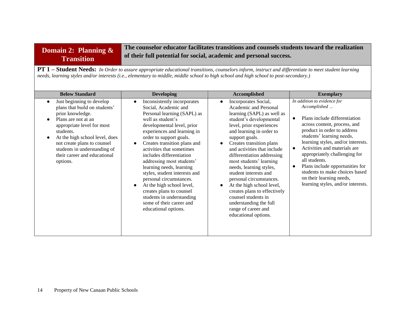## **Domain 2: Planning & Transition**

**The counselor educator facilitates transitions and counsels students toward the realization of their full potential for social, academic and personal success.** 

**PT 1 – Student Needs:** *In Order to assure appropriate educational transitions, counselors inform, instruct and differentiate to meet student learning needs, learning styles and/or interests (i.e., elementary to middle, middle school to high school and high school to post-secondary.)* 

| <b>Below Standard</b>                                                                                                                                                                                                                                                                                                   | <b>Developing</b>                                                                                                                                                                                                                                                                                                                                                                                                                                                                                                                                       | Accomplished                                                                                                                                                                                                                                                                                                                                                                                                                                                                                                                                                  | <b>Exemplary</b>                                                                                                                                                                                                                                                                                                                                                                                                                                                                |
|-------------------------------------------------------------------------------------------------------------------------------------------------------------------------------------------------------------------------------------------------------------------------------------------------------------------------|---------------------------------------------------------------------------------------------------------------------------------------------------------------------------------------------------------------------------------------------------------------------------------------------------------------------------------------------------------------------------------------------------------------------------------------------------------------------------------------------------------------------------------------------------------|---------------------------------------------------------------------------------------------------------------------------------------------------------------------------------------------------------------------------------------------------------------------------------------------------------------------------------------------------------------------------------------------------------------------------------------------------------------------------------------------------------------------------------------------------------------|---------------------------------------------------------------------------------------------------------------------------------------------------------------------------------------------------------------------------------------------------------------------------------------------------------------------------------------------------------------------------------------------------------------------------------------------------------------------------------|
| Just beginning to develop<br>$\bullet$<br>plans that build on students'<br>prior knowledge.<br>Plans are not at an<br>appropriate level for most<br>students.<br>At the high school level, does<br>$\bullet$<br>not create plans to counsel<br>students in understanding of<br>their career and educational<br>options. | Inconsistently incorporates<br>Social, Academic and<br>Personal learning (SAPL) as<br>well as student's<br>developmental level, prior<br>experiences and learning in<br>order to support goals.<br>Creates transition plans and<br>activities that sometimes<br>includes differentiation<br>addressing most students'<br>learning needs, learning<br>styles, student interests and<br>personal circumstances.<br>At the high school level,<br>creates plans to counsel<br>students in understanding<br>some of their career and<br>educational options. | Incorporates Social,<br>$\bullet$<br>Academic and Personal<br>learning (SAPL) as well as<br>student's developmental<br>level, prior experiences<br>and learning in order to<br>support goals.<br>Creates transition plans<br>and activities that include<br>differentiation addressing<br>most students' learning<br>needs, learning styles,<br>student interests and<br>personal circumstances.<br>At the high school level,<br>creates plans to effectively<br>counsel students in<br>understanding the full<br>range of career and<br>educational options. | In addition to evidence for<br>Accomplished<br>Plans include differentiation<br>$\bullet$<br>across content, process, and<br>product in order to address<br>students' learning needs,<br>learning styles, and/or interests.<br>Activities and materials are.<br>$\bullet$<br>appropriately challenging for<br>all students.<br>Plans include opportunities for<br>$\bullet$<br>students to make choices based<br>on their learning needs,<br>learning styles, and/or interests. |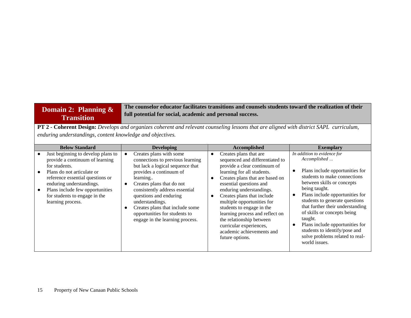#### **Domain 2: Planning & Transition The counselor educator facilitates transitions and counsels students toward the realization of their full potential for social, academic and personal success.**

**PT 2 - Coherent Design:** *Develops and organizes coherent and relevant counseling lessons that are aligned with district SAPL curriculum, enduring understandings, content knowledge and objectives.*

| <b>Below Standard</b>                                                                                                                                                                                                                                                         | <b>Developing</b>                                                                                                                                                                                                                                                                                                                                                                   | Accomplished                                                                                                                                                                                                                                                                                                                                                                                                                                                                        | <b>Exemplary</b>                                                                                                                                                                                                                                                                                                                                                                                                                         |
|-------------------------------------------------------------------------------------------------------------------------------------------------------------------------------------------------------------------------------------------------------------------------------|-------------------------------------------------------------------------------------------------------------------------------------------------------------------------------------------------------------------------------------------------------------------------------------------------------------------------------------------------------------------------------------|-------------------------------------------------------------------------------------------------------------------------------------------------------------------------------------------------------------------------------------------------------------------------------------------------------------------------------------------------------------------------------------------------------------------------------------------------------------------------------------|------------------------------------------------------------------------------------------------------------------------------------------------------------------------------------------------------------------------------------------------------------------------------------------------------------------------------------------------------------------------------------------------------------------------------------------|
| Just beginning to develop plans to<br>provide a continuum of learning<br>for students.<br>Plans do not articulate or<br>reference essential questions or<br>enduring understandings.<br>Plans include few opportunities<br>for students to engage in the<br>learning process. | Creates plans with some<br>$\bullet$<br>connections to previous learning<br>but lack a logical sequence that<br>provides a continuum of<br>learning<br>Creates plans that do not<br>$\bullet$<br>consistently address essential<br>questions and enduring<br>understandings.<br>Creates plans that include some<br>opportunities for students to<br>engage in the learning process. | Creates plans that are<br>$\bullet$<br>sequenced and differentiated to<br>provide a clear continuum of<br>learning for all students.<br>Creates plans that are based on<br>$\bullet$<br>essential questions and<br>enduring understandings.<br>Creates plans that include<br>¢<br>multiple opportunities for<br>students to engage in the<br>learning process and reflect on<br>the relationship between<br>curricular experiences,<br>academic achievements and<br>future options. | In addition to evidence for<br>Accomplished<br>Plans include opportunities for<br>students to make connections<br>between skills or concepts<br>being taught.<br>Plans include opportunities for<br>students to generate questions<br>that further their understanding<br>of skills or concepts being<br>taught.<br>Plans include opportunities for<br>students to identify/pose and<br>solve problems related to real-<br>world issues. |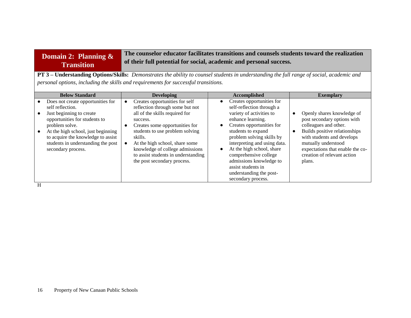#### **Domain 2: Planning & Transition The counselor educator facilitates transitions and counsels students toward the realization of their full potential for social, academic and personal success.**

**PT 3 – Understanding Options/Skills:** *Demonstrates the ability to counsel students in understanding the full range of social, academic and personal options, including the skills and requirements for successful transitions.* 

| <b>Below Standard</b>                                                                                                                                                                                                                                                        | <b>Developing</b>                                                                                                                                                                                                                                                                                                                                                                 | Accomplished                                                                                                                                                                                                                                                                                                                                                                                                           | <b>Exemplary</b>                                                                                                                                                                                                                                      |
|------------------------------------------------------------------------------------------------------------------------------------------------------------------------------------------------------------------------------------------------------------------------------|-----------------------------------------------------------------------------------------------------------------------------------------------------------------------------------------------------------------------------------------------------------------------------------------------------------------------------------------------------------------------------------|------------------------------------------------------------------------------------------------------------------------------------------------------------------------------------------------------------------------------------------------------------------------------------------------------------------------------------------------------------------------------------------------------------------------|-------------------------------------------------------------------------------------------------------------------------------------------------------------------------------------------------------------------------------------------------------|
| Does not create opportunities for<br>self reflection.<br>Just beginning to create<br>opportunities for students to<br>problem solve.<br>At the high school, just beginning<br>to acquire the knowledge to assist<br>students in understanding the post<br>secondary process. | Creates opportunities for self<br>$\bullet$<br>reflection through some but not<br>all of the skills required for<br>success.<br>Creates some opportunities for<br>$\bullet$<br>students to use problem solving<br>skills.<br>At the high school, share some<br>$\bullet$<br>knowledge of college admissions<br>to assist students in understanding<br>the post secondary process. | Creates opportunities for<br>$\bullet$<br>self-reflection through a<br>variety of activities to<br>enhance learning.<br>Creates opportunities for<br>$\bullet$<br>students to expand<br>problem solving skills by<br>interpreting and using data.<br>At the high school, share<br>$\bullet$<br>comprehensive college<br>admissions knowledge to<br>assist students in<br>understanding the post-<br>secondary process. | Openly shares knowledge of<br>post secondary options with<br>colleagues and other.<br>Builds positive relationships<br>with students and develops<br>mutually understood<br>expectations that enable the co-<br>creation of relevant action<br>plans. |

H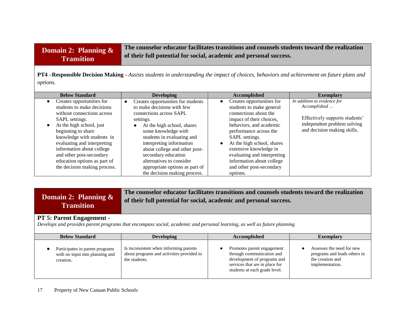| <b>Domain 2: Planning <math>\&amp;</math></b> | The counselor educator facilitates transitions and counsels students toward the realization |
|-----------------------------------------------|---------------------------------------------------------------------------------------------|
| <b>Transition</b>                             | of their full potential for social, academic and personal success.                          |
|                                               |                                                                                             |

**PT4 –Responsible Decision Making -** *Assists students in understanding the impact of choices, behaviors and achievement on future plans and options.*

| <b>Below Standard</b>                  | <b>Developing</b>                               | Accomplished                            | <b>Exemplary</b>               |
|----------------------------------------|-------------------------------------------------|-----------------------------------------|--------------------------------|
| Creates opportunities for<br>$\bullet$ | Creates opportunities for students<br>$\bullet$ | Creates opportunities for<br>$\bullet$  | In addition to evidence for    |
| students to make decisions             | to make decisions with few                      | students to make general                | Accomplished                   |
| without connections across             | connections across SAPL                         | connections about the                   |                                |
| SAPL settings.                         | settings.                                       | impact of their choices,                | Effectively supports students' |
| At the high school, just<br>$\bullet$  | At the high school, shares                      | behaviors, and academic                 | independent problem solving    |
| beginning to share                     | some knowledge with                             | performance across the                  | and decision making skills.    |
| knowledge with students in             | students in evaluating and                      | SAPL settings.                          |                                |
| evaluating and interpreting            | interpreting information                        | At the high school, shares<br>$\bullet$ |                                |
| information about college              | about college and other post-                   | extensive knowledge in                  |                                |
| and other post-secondary               | secondary education                             | evaluating and interpreting             |                                |
| education options as part of           | alternatives to consider                        | information about college               |                                |
| the decision making process.           | appropriate options as part of                  | and other post-secondary                |                                |
|                                        | the decision making process.                    | options.                                |                                |

| Domain 2: Planning $\&$              | The counselor educator facilitates transitions and counsels students toward the realization |
|--------------------------------------|---------------------------------------------------------------------------------------------|
| <b>Transition</b>                    | of their full potential for social, academic and personal success.                          |
| $DT \xi$ . Dovent $\Gamma$ ngogement |                                                                                             |

### **PT 5: Parent Engagement -**

*Develops and provides parent programs that encompass social, academic and personal learning, as well as future planning*

| <b>Below Standard</b>                                                           | <b>Developing</b>                                                                                    | Accomplished                                                                                                                                              | <b>Exemplary</b>                                                                                 |
|---------------------------------------------------------------------------------|------------------------------------------------------------------------------------------------------|-----------------------------------------------------------------------------------------------------------------------------------------------------------|--------------------------------------------------------------------------------------------------|
| Participates in parent programs<br>with no input into planning and<br>creation. | Is inconsistent when informing parents<br>about programs and activities provided to<br>the students. | Promotes parent engagement<br>through communication and<br>development of programs and<br>services that are in place for<br>students at each grade level. | Assesses the need for new<br>programs and leads others in<br>the creation and<br>implementation. |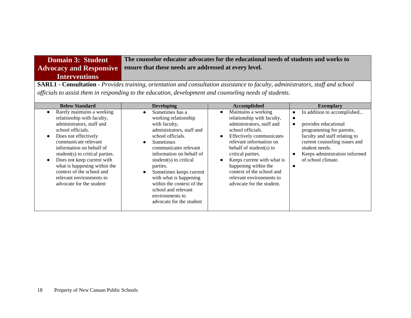**Domain 3: Student Advocacy and Responsive Interventions The counselor educator advocates for the educational needs of students and works to ensure that these needs are addressed at every level.** 

**SARI.1 - Consultation -** *Provides training, orientation and consultation assistance to faculty, administrators, staff and school officials to assist them in responding to the education, development and counseling needs of students.*

| <b>Below Standard</b>                                                                                                                                                                                                                                                                                                                                                                                               | <b>Developing</b>                                                                                                                                                                                                                                                                                                                                                          | Accomplished                                                                                                                                                                                                                                                                                                                                                        | <b>Exemplary</b>                                                                                                                                                                                                                                                  |
|---------------------------------------------------------------------------------------------------------------------------------------------------------------------------------------------------------------------------------------------------------------------------------------------------------------------------------------------------------------------------------------------------------------------|----------------------------------------------------------------------------------------------------------------------------------------------------------------------------------------------------------------------------------------------------------------------------------------------------------------------------------------------------------------------------|---------------------------------------------------------------------------------------------------------------------------------------------------------------------------------------------------------------------------------------------------------------------------------------------------------------------------------------------------------------------|-------------------------------------------------------------------------------------------------------------------------------------------------------------------------------------------------------------------------------------------------------------------|
| Rarely maintains a working<br>$\bullet$<br>relationship with faculty,<br>administrators, staff and<br>school officials.<br>Does not effectively<br>$\bullet$<br>communicate relevant<br>information on behalf of<br>student(s) to critical parties.<br>Does not keep current with<br>$\bullet$<br>what is happening within the<br>context of the school and<br>relevant environments to<br>advocate for the student | Sometimes has a<br>working relationship<br>with faculty,<br>administrators, staff and<br>school officials.<br>Sometimes<br>communicates relevant<br>information on behalf of<br>student(s) to critical<br>parties.<br>Sometimes keeps current<br>with what is happening<br>within the context of the<br>school and relevant<br>environments to<br>advocate for the student | Maintains a working<br>$\bullet$<br>relationship with faculty,<br>administrators, staff and<br>school officials.<br>Effectively communicates<br>relevant information on<br>behalf of student(s) to<br>critical parties.<br>Keeps current with what is<br>happening within the<br>context of the school and<br>relevant environments to<br>advocate for the student. | In addition to accomplished<br>$\bullet$<br>provides educational<br>programming for parents,<br>faculty and staff relating to<br>current counseling issues and<br>student needs.<br>Keeps administration informed<br>$\bullet$<br>of school climate.<br>$\bullet$ |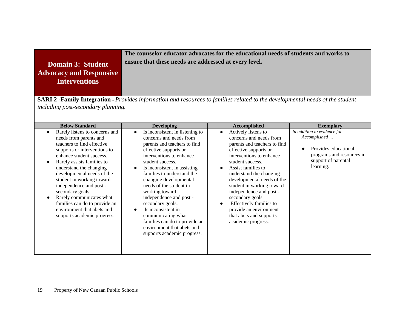### **The counselor educator advocates for the educational needs of students and works to ensure that these needs are addressed at every level.**

**Domain 3: Student Advocacy and Responsive Interventions**

**SARI 2 -Family Integration -** *Provides information and resources to families related to the developmental needs of the student including post-secondary planning.* 

| <b>Below Standard</b>                                                                                                                                                                                                                                                                                                                                                                                                                           | <b>Developing</b>                                                                                                                                                                                                                                                                                                                                                                                                                                                                                                                        | Accomplished                                                                                                                                                                                                                                                                                                                                                                                                             | <b>Exemplary</b>                                                                                                                     |
|-------------------------------------------------------------------------------------------------------------------------------------------------------------------------------------------------------------------------------------------------------------------------------------------------------------------------------------------------------------------------------------------------------------------------------------------------|------------------------------------------------------------------------------------------------------------------------------------------------------------------------------------------------------------------------------------------------------------------------------------------------------------------------------------------------------------------------------------------------------------------------------------------------------------------------------------------------------------------------------------------|--------------------------------------------------------------------------------------------------------------------------------------------------------------------------------------------------------------------------------------------------------------------------------------------------------------------------------------------------------------------------------------------------------------------------|--------------------------------------------------------------------------------------------------------------------------------------|
| Rarely listens to concerns and<br>needs from parents and<br>teachers to find effective<br>supports or interventions to<br>enhance student success.<br>Rarely assists families to<br>understand the changing<br>developmental needs of the<br>student in working toward<br>independence and post -<br>secondary goals.<br>Rarely communicates what<br>families can do to provide an<br>environment that abets and<br>supports academic progress. | Is inconsistent in listening to<br>$\bullet$<br>concerns and needs from<br>parents and teachers to find<br>effective supports or<br>interventions to enhance<br>student success.<br>Is inconsistent in assisting<br>$\bullet$<br>families to understand the<br>changing developmental<br>needs of the student in<br>working toward<br>independence and post -<br>secondary goals.<br>Is inconsistent in<br>$\bullet$<br>communicating what<br>families can do to provide an<br>environment that abets and<br>supports academic progress. | Actively listens to<br>concerns and needs from<br>parents and teachers to find<br>effective supports or<br>interventions to enhance<br>student success.<br>Assist families to<br>understand the changing<br>developmental needs of the<br>student in working toward<br>independence and post -<br>secondary goals.<br>Effectively families to<br>provide an environment<br>that abets and supports<br>academic progress. | In addition to evidence for<br>Accomplished<br>Provides educational<br>programs and resources in<br>support of parental<br>learning. |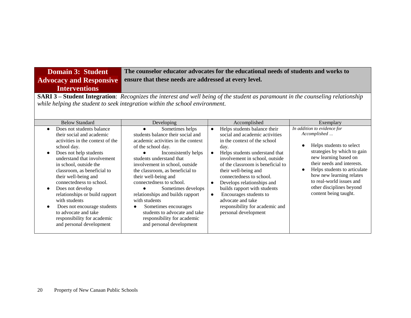| <b>Domain 3: Student</b>                                                                                                                                                                                                                                                                                                                                                                                                                                                              | The counselor educator advocates for the educational needs of students and works to                                                                                                                                                                                                                                                                                                                                                                                                                                    |                                                                                                                                                                                                                                                                                                                                                                                                                                                                                                 |                                                                                                                                                                                                                                                                                                                                      |
|---------------------------------------------------------------------------------------------------------------------------------------------------------------------------------------------------------------------------------------------------------------------------------------------------------------------------------------------------------------------------------------------------------------------------------------------------------------------------------------|------------------------------------------------------------------------------------------------------------------------------------------------------------------------------------------------------------------------------------------------------------------------------------------------------------------------------------------------------------------------------------------------------------------------------------------------------------------------------------------------------------------------|-------------------------------------------------------------------------------------------------------------------------------------------------------------------------------------------------------------------------------------------------------------------------------------------------------------------------------------------------------------------------------------------------------------------------------------------------------------------------------------------------|--------------------------------------------------------------------------------------------------------------------------------------------------------------------------------------------------------------------------------------------------------------------------------------------------------------------------------------|
| <b>Advocacy and Responsive</b>                                                                                                                                                                                                                                                                                                                                                                                                                                                        | ensure that these needs are addressed at every level.                                                                                                                                                                                                                                                                                                                                                                                                                                                                  |                                                                                                                                                                                                                                                                                                                                                                                                                                                                                                 |                                                                                                                                                                                                                                                                                                                                      |
| <b>Interventions</b>                                                                                                                                                                                                                                                                                                                                                                                                                                                                  |                                                                                                                                                                                                                                                                                                                                                                                                                                                                                                                        |                                                                                                                                                                                                                                                                                                                                                                                                                                                                                                 |                                                                                                                                                                                                                                                                                                                                      |
| <b>SARI 3 – Student Integration:</b> Recognizes the interest and well being of the student as paramount in the counseling relationship<br>while helping the student to seek integration within the school environment.                                                                                                                                                                                                                                                                |                                                                                                                                                                                                                                                                                                                                                                                                                                                                                                                        |                                                                                                                                                                                                                                                                                                                                                                                                                                                                                                 |                                                                                                                                                                                                                                                                                                                                      |
| <b>Below Standard</b>                                                                                                                                                                                                                                                                                                                                                                                                                                                                 | Developing                                                                                                                                                                                                                                                                                                                                                                                                                                                                                                             | Accomplished                                                                                                                                                                                                                                                                                                                                                                                                                                                                                    | Exemplary                                                                                                                                                                                                                                                                                                                            |
| Does not students balance<br>their social and academic<br>activities in the context of the<br>school day.<br>Does not help students<br>understand that involvement<br>in school, outside the<br>classroom, as beneficial to<br>their well-being and<br>connectedness to school.<br>Does not develop<br>$\bullet$<br>relationships or build rapport<br>with students<br>Does not encourage students<br>to advocate and take<br>responsibility for academic<br>and personal development | Sometimes helps<br>$\bullet$<br>students balance their social and<br>academic activities in the context<br>of the school day.<br>Inconsistently helps<br>students understand that<br>involvement in school, outside<br>the classroom, as beneficial to<br>their well-being and<br>connectedness to school.<br>Sometimes develops<br>relationships and builds rapport<br>with students<br>Sometimes encourages<br>$\bullet$<br>students to advocate and take<br>responsibility for academic<br>and personal development | Helps students balance their<br>$\bullet$<br>social and academic activities<br>in the context of the school<br>day.<br>Helps students understand that<br>$\bullet$<br>involvement in school, outside<br>of the classroom is beneficial to<br>their well-being and<br>connectedness to school.<br>Develops relationships and<br>$\bullet$<br>builds rapport with students<br>Encourages students to<br>$\bullet$<br>advocate and take<br>responsibility for academic and<br>personal development | In addition to evidence for<br>Accomplished<br>Helps students to select<br>$\bullet$<br>strategies by which to gain<br>new learning based on<br>their needs and interests.<br>Helps students to articulate<br>$\bullet$<br>how new learning relates<br>to real-world issues and<br>other disciplines beyond<br>content being taught. |

۰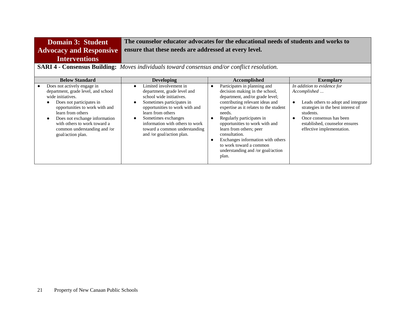| The counselor educator advocates for the educational needs of students and works to<br><b>Domain 3: Student</b><br>ensure that these needs are addressed at every level.<br><b>Advocacy and Responsive</b><br><b>Interventions</b><br><b>SARI 4 - Consensus Building:</b> Moves individuals toward consensus and/or conflict resolution. |                                                                                                                                                                                                                                                                                                            |                                                                                                                                                                                                                                                                                                                                                                                  |                                                                                                                                                                                                                                              |
|------------------------------------------------------------------------------------------------------------------------------------------------------------------------------------------------------------------------------------------------------------------------------------------------------------------------------------------|------------------------------------------------------------------------------------------------------------------------------------------------------------------------------------------------------------------------------------------------------------------------------------------------------------|----------------------------------------------------------------------------------------------------------------------------------------------------------------------------------------------------------------------------------------------------------------------------------------------------------------------------------------------------------------------------------|----------------------------------------------------------------------------------------------------------------------------------------------------------------------------------------------------------------------------------------------|
| <b>Below Standard</b>                                                                                                                                                                                                                                                                                                                    | <b>Developing</b>                                                                                                                                                                                                                                                                                          | Accomplished                                                                                                                                                                                                                                                                                                                                                                     | <b>Exemplary</b>                                                                                                                                                                                                                             |
| Does not actively engage in<br>department, grade level, and school<br>wide initiatives.<br>Does not participates in<br>opportunities to work with and<br>learn from others<br>Does not exchange information<br>with others to work toward a<br>common understanding and /or<br>goal/action plan.                                         | Limited involvement in<br>$\bullet$<br>department, grade level and<br>school wide initiatives.<br>Sometimes participates in<br>opportunities to work with and<br>learn from others<br>Sometimes exchanges<br>information with others to work<br>toward a common understanding<br>and /or goal/action plan. | Participates in planning and<br>$\bullet$<br>decision making in the school,<br>department, and/or grade level;<br>contributing relevant ideas and<br>expertise as it relates to the student<br>needs.<br>Regularly participates in<br>opportunities to work with and<br>learn from others; peer<br>consultation.<br>Exchanges information with others<br>to work toward a common | In addition to evidence for<br>Accomplished<br>Leads others to adopt and integrate<br>$\bullet$<br>strategies in the best interest of<br>students.<br>Once consensus has been<br>established, counselor ensures<br>effective implementation. |

understanding and /or goal/action

plan.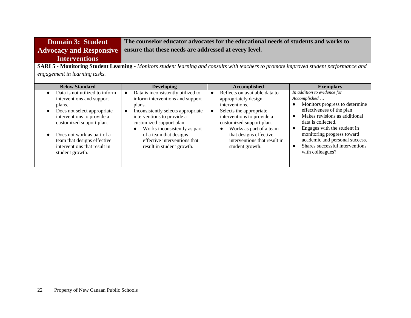| <b>Domain 3: Student</b>       | The counselor educator advocates for the educational needs of students and works to |
|--------------------------------|-------------------------------------------------------------------------------------|
| <b>Advocacy and Responsive</b> | ensure that these needs are addressed at every level.                               |
| <b>Interventions</b>           |                                                                                     |
|                                |                                                                                     |

**SARI 5 - Monitoring Student Learning -** *Monitors student learning and consults with teachers to promote improved student performance and engagement in learning tasks.*

| <b>Below Standard</b>                                                                                                                                                                                                                                                          | <b>Developing</b>                                                                                                                                                                                                                                                                                       | Accomplished                                                                                                                                                                                                                                                                      | <b>Exemplary</b>                                                                                                                                                                                                                                                                                                                     |
|--------------------------------------------------------------------------------------------------------------------------------------------------------------------------------------------------------------------------------------------------------------------------------|---------------------------------------------------------------------------------------------------------------------------------------------------------------------------------------------------------------------------------------------------------------------------------------------------------|-----------------------------------------------------------------------------------------------------------------------------------------------------------------------------------------------------------------------------------------------------------------------------------|--------------------------------------------------------------------------------------------------------------------------------------------------------------------------------------------------------------------------------------------------------------------------------------------------------------------------------------|
| Data is not utilized to inform<br>interventions and support<br>plans.<br>Does not select appropriate<br>interventions to provide a<br>customized support plan.<br>Does not work as part of a<br>team that designs effective<br>interventions that result in<br>student growth. | Data is inconsistently utilized to<br>inform interventions and support<br>plans.<br>Inconsistently selects appropriate<br>interventions to provide a<br>customized support plan.<br>Works inconsistently as part<br>of a team that designs<br>effective interventions that<br>result in student growth. | Reflects on available data to<br>appropriately design<br>interventions.<br>Selects the appropriate<br>interventions to provide a<br>customized support plan.<br>Works as part of a team<br>$\bullet$<br>that designs effective<br>interventions that result in<br>student growth. | In addition to evidence for<br>Accomplished<br>Monitors progress to determine<br>effectiveness of the plan<br>Makes revisions as additional<br>$\bullet$<br>data is collected.<br>Engages with the student in<br>monitoring progress toward<br>academic and personal success.<br>Shares successful interventions<br>with colleagues? |
|                                                                                                                                                                                                                                                                                |                                                                                                                                                                                                                                                                                                         |                                                                                                                                                                                                                                                                                   |                                                                                                                                                                                                                                                                                                                                      |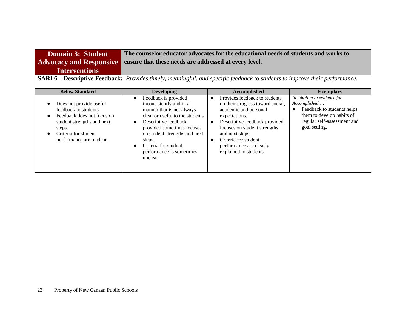| <b>Domain 3: Student</b> | The counselor educator advocates for the educational needs of students and works to |
|--------------------------|-------------------------------------------------------------------------------------|
|                          | Advocacy and Responsive ensure that these needs are addressed at every level.       |
| <b>Interventions</b>     |                                                                                     |

**SARI 6 – Descriptive Feedback:** *Provides timely, meaningful, and specific feedback to students to improve their performance.* 

| <b>Below Standard</b>                                                                                                                                                     | <b>Developing</b>                                                                                                                                                                                                                                                                                         | <b>Accomplished</b>                                                                                                                                                                                                                                                          | <b>Exemplary</b>                                                                                                                                       |
|---------------------------------------------------------------------------------------------------------------------------------------------------------------------------|-----------------------------------------------------------------------------------------------------------------------------------------------------------------------------------------------------------------------------------------------------------------------------------------------------------|------------------------------------------------------------------------------------------------------------------------------------------------------------------------------------------------------------------------------------------------------------------------------|--------------------------------------------------------------------------------------------------------------------------------------------------------|
| Does not provide useful<br>feedback to students<br>Feedback does not focus on<br>student strengths and next<br>steps.<br>Criteria for student<br>performance are unclear. | Feedback is provided<br>$\bullet$<br>inconsistently and in a<br>manner that is not always<br>clear or useful to the students<br>Descriptive feedback<br>$\bullet$<br>provided sometimes focuses<br>on student strengths and next<br>steps.<br>Criteria for student<br>performance is sometimes<br>unclear | Provides feedback to students<br>on their progress toward social,<br>academic and personal<br>expectations.<br>Descriptive feedback provided<br>focuses on student strengths<br>and next steps.<br>Criteria for student<br>performance are clearly<br>explained to students. | In addition to evidence for<br>Accomplished<br>Feedback to students helps<br>them to develop habits of<br>regular self-assessment and<br>goal setting. |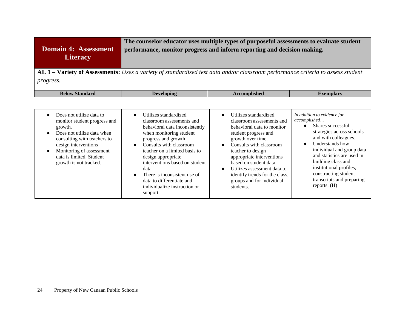| <b>Domain 4: Assessment</b><br><b>Literacy</b>                                                                                                                                                                                                          | The counselor educator uses multiple types of purposeful assessments to evaluate student<br>performance, monitor progress and inform reporting and decision making.<br><b>AL 1 – Variety of Assessments:</b> Uses a variety of standardized test data and/or classroom performance criteria to assess student |                                                                                                                                                                                                                                                                                                           |                                                                                                                                                                                                                                                                                           |
|---------------------------------------------------------------------------------------------------------------------------------------------------------------------------------------------------------------------------------------------------------|---------------------------------------------------------------------------------------------------------------------------------------------------------------------------------------------------------------------------------------------------------------------------------------------------------------|-----------------------------------------------------------------------------------------------------------------------------------------------------------------------------------------------------------------------------------------------------------------------------------------------------------|-------------------------------------------------------------------------------------------------------------------------------------------------------------------------------------------------------------------------------------------------------------------------------------------|
| progress.                                                                                                                                                                                                                                               |                                                                                                                                                                                                                                                                                                               |                                                                                                                                                                                                                                                                                                           |                                                                                                                                                                                                                                                                                           |
| <b>Below Standard</b>                                                                                                                                                                                                                                   | <b>Developing</b>                                                                                                                                                                                                                                                                                             | <b>Accomplished</b>                                                                                                                                                                                                                                                                                       | <b>Exemplary</b>                                                                                                                                                                                                                                                                          |
| Does not utilize data to<br>$\bullet$<br>monitor student progress and<br>growth.<br>Does not utilize data when<br>consulting with teachers to<br>design interventions<br>Monitoring of assessment<br>data is limited. Student<br>growth is not tracked. | Utilizes standardized<br>classroom assessments and<br>behavioral data inconsistently<br>when monitoring student<br>progress and growth<br>Consults with classroom<br>teacher on a limited basis to<br>design appropriate<br>interventions based on student<br>data.<br>There is inconsistent use of           | Utilizes standardized<br>$\bullet$<br>classroom assessments and<br>behavioral data to monitor<br>student progress and<br>growth over time.<br>Consults with classroom<br>$\bullet$<br>teacher to design<br>appropriate interventions<br>based on student data<br>Utilizes assessment data to<br>$\bullet$ | In addition to evidence for<br>accomplished<br>Shares successful<br>$\bullet$<br>strategies across schools<br>and with colleagues.<br>Understands how<br>individual and group data<br>and statistics are used in<br>building class and<br>institutional profiles,<br>constructing student |
|                                                                                                                                                                                                                                                         | data to differentiate and<br>individualize instruction or<br>support                                                                                                                                                                                                                                          | identify trends for the class,<br>groups and for individual<br>students.                                                                                                                                                                                                                                  | transcripts and preparing<br>reports. $(H)$                                                                                                                                                                                                                                               |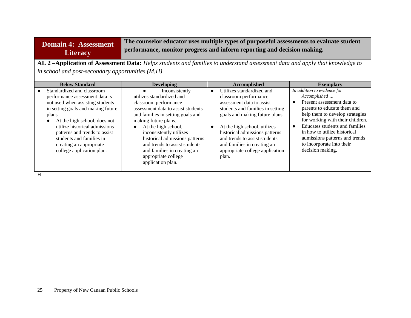## **Domain 4: Assessment Literacy**

**The counselor educator uses multiple types of purposeful assessments to evaluate student performance, monitor progress and inform reporting and decision making.**

**AL 2 –Application of Assessment Data:** *Helps students and families to understand assessment data and apply that knowledge to in school and post-secondary opportunities.(M,H)*

| <b>Below Standard</b>                                                                                                                                                                                                                                                                                                                 | <b>Developing</b>                                                                                                                                                                                                                                                                                                                                                                                 | Accomplished                                                                                                                                                                                                                                                                                                                                     | <b>Exemplary</b>                                                                                                                                                                                                                                                                                                                     |
|---------------------------------------------------------------------------------------------------------------------------------------------------------------------------------------------------------------------------------------------------------------------------------------------------------------------------------------|---------------------------------------------------------------------------------------------------------------------------------------------------------------------------------------------------------------------------------------------------------------------------------------------------------------------------------------------------------------------------------------------------|--------------------------------------------------------------------------------------------------------------------------------------------------------------------------------------------------------------------------------------------------------------------------------------------------------------------------------------------------|--------------------------------------------------------------------------------------------------------------------------------------------------------------------------------------------------------------------------------------------------------------------------------------------------------------------------------------|
| Standardized and classroom<br>performance assessment data is<br>not used when assisting students<br>in setting goals and making future<br>plans<br>At the high school, does not<br>utilize historical admissions<br>patterns and trends to assist<br>students and families in<br>creating an appropriate<br>college application plan. | Inconsistently<br>$\bullet$<br>utilizes standardized and<br>classroom performance<br>assessment data to assist students<br>and families in setting goals and<br>making future plans.<br>At the high school,<br>$\bullet$<br>inconsistently utilizes<br>historical admissions patterns<br>and trends to assist students<br>and families in creating an<br>appropriate college<br>application plan. | Utilizes standardized and<br>$\bullet$<br>classroom performance<br>assessment data to assist<br>students and families in setting<br>goals and making future plans.<br>At the high school, utilizes<br>historical admissions patterns<br>and trends to assist students<br>and families in creating an<br>appropriate college application<br>plan. | In addition to evidence for<br>Accomplished<br>Present assessment data to<br>parents to educate them and<br>help them to develop strategies<br>for working with their children.<br>Educates students and families<br>in how to utilize historical<br>admissions patterns and trends<br>to incorporate into their<br>decision making. |

H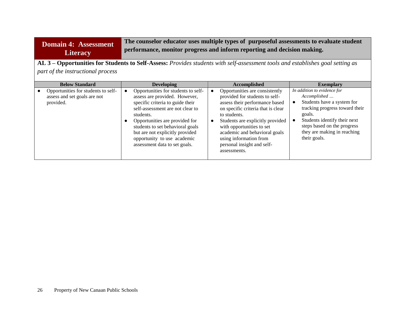## **Domain 4: Assessment Literacy**

**The counselor educator uses multiple types of purposeful assessments to evaluate student performance, monitor progress and inform reporting and decision making.**

**AL 3 – Opportunities for Students to Self-Assess:** *Provides students with self-assessment tools and establishes goal setting as part of the instructional process*

| <b>Below Standard</b>                                                            | <b>Developing</b>                                                                                                                                                                                                                                                                                                                               | Accomplished                                                                                                                                                                                                                                                                                                                       | <b>Exemplary</b>                                                                                                                                                                                                                    |
|----------------------------------------------------------------------------------|-------------------------------------------------------------------------------------------------------------------------------------------------------------------------------------------------------------------------------------------------------------------------------------------------------------------------------------------------|------------------------------------------------------------------------------------------------------------------------------------------------------------------------------------------------------------------------------------------------------------------------------------------------------------------------------------|-------------------------------------------------------------------------------------------------------------------------------------------------------------------------------------------------------------------------------------|
| Opportunities for students to self-<br>assess and set goals are not<br>provided. | Opportunities for students to self-<br>$\bullet$<br>assess are provided. However,<br>specific criteria to guide their<br>self-assessment are not clear to<br>students.<br>Opportunities are provided for<br>students to set behavioral goals<br>but are not explicitly provided<br>opportunity to use academic<br>assessment data to set goals. | Opportunities are consistently<br>provided for students to self-<br>assess their performance based<br>on specific criteria that is clear<br>to students.<br>Students are explicitly provided<br>with opportunities to set<br>academic and behavioral goals<br>using information from<br>personal insight and self-<br>assessments. | In addition to evidence for<br>Accomplished<br>Students have a system for<br>tracking progress toward their<br>goals.<br>Students identify their next<br>steps based on the progress<br>they are making in reaching<br>their goals. |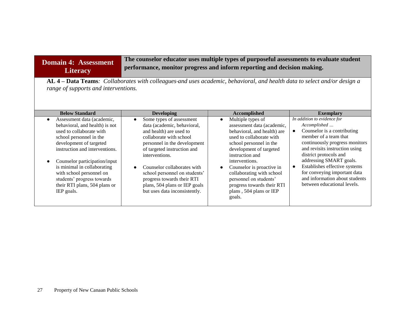### **Domain 4: Assessment Literacy**

**The counselor educator uses multiple types of purposeful assessments to evaluate student performance, monitor progress and inform reporting and decision making.**

**AL 4 – Data Teams***: Collaborates with colleagues and uses academic, behavioral, and health data to select and/or design a range of supports and interventions.* 

| <b>Below Standard</b>                                                                                                                                                                                                                                                                                                                                     | <b>Developing</b>                                                                                                                                                                                                                                                                                                                                              | Accomplished                                                                                                                                                                                                                                                                                                                                                                           | <b>Exemplary</b>                                                                                                                                                                                                                                                                                                                                                            |
|-----------------------------------------------------------------------------------------------------------------------------------------------------------------------------------------------------------------------------------------------------------------------------------------------------------------------------------------------------------|----------------------------------------------------------------------------------------------------------------------------------------------------------------------------------------------------------------------------------------------------------------------------------------------------------------------------------------------------------------|----------------------------------------------------------------------------------------------------------------------------------------------------------------------------------------------------------------------------------------------------------------------------------------------------------------------------------------------------------------------------------------|-----------------------------------------------------------------------------------------------------------------------------------------------------------------------------------------------------------------------------------------------------------------------------------------------------------------------------------------------------------------------------|
| Assessment data (academic,<br>behavioral, and health) is not<br>used to collaborate with<br>school personnel in the<br>development of targeted<br>instruction and interventions.<br>Counselor participation/input<br>is minimal in collaborating<br>with school personnel on<br>students' progress towards<br>their RTI plans, 504 plans or<br>IEP goals. | Some types of assessment<br>data (academic, behavioral,<br>and health) are used to<br>collaborate with school<br>personnel in the development<br>of targeted instruction and<br>interventions.<br>Counselor collaborates with<br>school personnel on students'<br>progress towards their RTI<br>plans, 504 plans or IEP goals<br>but uses data inconsistently. | Multiple types of<br>$\bullet$<br>assessment data (academic,<br>behavioral, and health) are<br>used to collaborate with<br>school personnel in the<br>development of targeted<br>instruction and<br>interventions.<br>Counselor is proactive in<br>$\bullet$<br>collaborating with school<br>personnel on students'<br>progress towards their RTI<br>plans, 504 plans or IEP<br>goals. | In addition to evidence for<br>Accomplished<br>Counselor is a contributing<br>member of a team that<br>continuously progress monitors<br>and revisits instruction using<br>district protocols and<br>addressing SMART goals.<br>Establishes effective systems<br>$\bullet$<br>for conveying important data<br>and information about students<br>between educational levels. |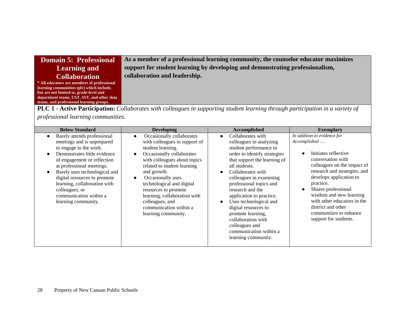| <b>Domain 5: Professional</b>               | As a member of a professional learning community, the counselor educator maximizes |
|---------------------------------------------|------------------------------------------------------------------------------------|
| <b>Learning and</b>                         | support for student learning by developing and demonstrating professionalism,      |
| <b>Collaboration</b>                        | collaboration and leadership.                                                      |
| * All educators are members of professional |                                                                                    |
| learning communities (plc) which include,   |                                                                                    |
| but are not limited to, grade-level and     |                                                                                    |
| department teams, UST, SST, and other data  |                                                                                    |

**PLC 1 - Active Participation:** *Collaborates with colleagues in supporting student learning through participation in a variety of professional learning communities.*

| <b>Below Standard</b>                                                                                                                                                                                                                                                                                                                               | <b>Developing</b>                                                                                                                                                                                                                                                                                                                                                                                               | Accomplished                                                                                                                                                                                                                                                                                                                                                                                                                                       | <b>Exemplary</b>                                                                                                                                                                                                                                                                                                                                                       |
|-----------------------------------------------------------------------------------------------------------------------------------------------------------------------------------------------------------------------------------------------------------------------------------------------------------------------------------------------------|-----------------------------------------------------------------------------------------------------------------------------------------------------------------------------------------------------------------------------------------------------------------------------------------------------------------------------------------------------------------------------------------------------------------|----------------------------------------------------------------------------------------------------------------------------------------------------------------------------------------------------------------------------------------------------------------------------------------------------------------------------------------------------------------------------------------------------------------------------------------------------|------------------------------------------------------------------------------------------------------------------------------------------------------------------------------------------------------------------------------------------------------------------------------------------------------------------------------------------------------------------------|
| Rarely attends professional<br>meetings and is unprepared<br>to engage in the work.<br>Demonstrates little evidence<br>of engagement or reflection<br>at professional meetings.<br>Rarely uses technological and<br>digital resources to promote<br>learning, collaboration with<br>colleagues, or<br>communication within a<br>learning community. | Occasionally collaborates<br>$\bullet$<br>with colleagues in support of<br>student learning.<br>Occasionally collaborates<br>$\bullet$<br>with colleagues about topics<br>related to student learning<br>and growth.<br>Occasionally uses<br>$\bullet$<br>technological and digital<br>resources to promote<br>learning, collaboration with<br>colleagues, and<br>communication within a<br>learning community. | Collaborates with<br>colleagues in analyzing<br>student performance in<br>order to identify strategies<br>that support the learning of<br>all students.<br>Collaborates with<br>colleagues in examining<br>professional topics and<br>research and the<br>application to practice.<br>Uses technological and<br>digital resources to<br>promote learning,<br>collaboration with<br>colleagues and<br>communication within a<br>learning community. | In addition to evidence for<br>Accomplished<br>Initiates reflective<br>conversation with<br>colleagues on the impact of<br>research and strategies, and<br>develops application to<br>practice.<br>Shares professional<br>$\bullet$<br>wisdom and new learning<br>with other educators in the<br>district and other<br>communities to enhance<br>support for students. |

**teams, and professional learning groups.**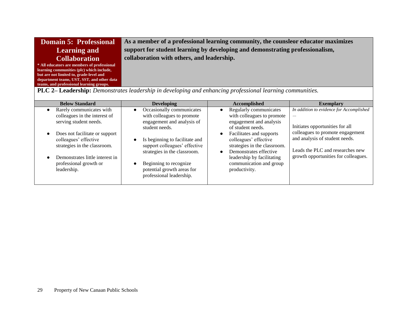| <b>Domain 5: Professional</b>               | As a member of a professional learning community, the counsleor educator maximizes |
|---------------------------------------------|------------------------------------------------------------------------------------|
| <b>Learning and</b>                         | support for student learning by developing and demonstrating professionalism,      |
| <b>Collaboration</b>                        | collaboration with others, and leadership.                                         |
| * All educators are members of professional |                                                                                    |
| learning communities (plc) which include,   |                                                                                    |
| but are not limited to, grade-level and     |                                                                                    |
| department teams, UST, SST, and other data  |                                                                                    |
| teams, and professional learning groups.    |                                                                                    |

**PLC 2– Leadership:** *Demonstrates leadership in developing and enhancing professional learning communities.*

| <b>Below Standard</b>                                                                   | <b>Developing</b>                                                                                                    | <b>Accomplished</b>                                                                                         | <b>Exemplary</b>                                                                                       |
|-----------------------------------------------------------------------------------------|----------------------------------------------------------------------------------------------------------------------|-------------------------------------------------------------------------------------------------------------|--------------------------------------------------------------------------------------------------------|
| Rarely communicates with<br>colleagues in the interest of<br>serving student needs.     | Occasionally communicates<br>$\bullet$<br>with colleagues to promote<br>engagement and analysis of<br>student needs. | Regularly communicates<br>with colleagues to promote<br>engagement and analysis<br>of student needs.        | In addition to evidence for Accomplished<br>$\cdots$<br>Initiates opportunities for all                |
| Does not facilitate or support<br>colleagues' effective<br>strategies in the classroom. | Is beginning to facilitate and<br>$\bullet$<br>support colleagues' effective<br>strategies in the classroom.         | Facilitates and supports<br>colleagues' effective<br>strategies in the classroom.<br>Demonstrates effective | colleagues to promote engagement<br>and analysis of student needs.<br>Leads the PLC and researches new |
| Demonstrates little interest in<br>professional growth or<br>leadership.                | Beginning to recognize<br>potential growth areas for<br>professional leadership.                                     | leadership by facilitating<br>communication and group<br>productivity.                                      | growth opportunities for colleagues.                                                                   |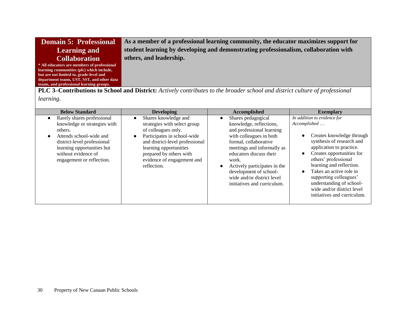| Domain 5: Professional                      | As a member of a professional learning community, the educator maximizes support for |
|---------------------------------------------|--------------------------------------------------------------------------------------|
| <b>Learning and</b>                         | student learning by developing and demonstrating professionalism, collaboration with |
| <b>Collaboration</b>                        | others, and leadership.                                                              |
| * All educators are members of professional |                                                                                      |
| learning communities (plc) which include,   |                                                                                      |
| but are not limited to, grade-level and     |                                                                                      |
| department teams, UST, SST, and other data  |                                                                                      |
| teams, and professional learning groups.    |                                                                                      |

**PLC 3–Contributions to School and District:** *Actively contributes to the broader school and district culture of professional learning.*

| <b>Below Standard</b>                                                                                                                                                                                                          | <b>Developing</b>                                                                                                                                                                                                                               | Accomplished                                                                                                                                                                                                                                                                                                                         | <b>Exemplary</b>                                                                                                                                                                                                                                                                                                                                                              |
|--------------------------------------------------------------------------------------------------------------------------------------------------------------------------------------------------------------------------------|-------------------------------------------------------------------------------------------------------------------------------------------------------------------------------------------------------------------------------------------------|--------------------------------------------------------------------------------------------------------------------------------------------------------------------------------------------------------------------------------------------------------------------------------------------------------------------------------------|-------------------------------------------------------------------------------------------------------------------------------------------------------------------------------------------------------------------------------------------------------------------------------------------------------------------------------------------------------------------------------|
| Rarely shares professional<br>$\bullet$<br>knowledge or strategies with<br>others.<br>Attends school-wide and<br>district-level professional<br>learning opportunities but<br>without evidence of<br>engagement or reflection. | Shares knowledge and<br>strategies with select group<br>of colleagues only.<br>Participates in school-wide<br>and district-level professional<br>learning opportunities<br>prepared by others with<br>evidence of engagement and<br>reflection. | Shares pedagogical<br>$\bullet$<br>knowledge, reflections,<br>and professional learning<br>with colleagues in both<br>formal, collaborative<br>meetings and informally as<br>educators discuss their<br>work.<br>Actively participates in the<br>development of school-<br>wide and/or district level<br>initiatives and curriculum. | In addition to evidence for<br>Accomplished<br>Creates knowledge through<br>synthesis of research and<br>application to practice.<br>Creates opportunities for<br>$\bullet$<br>others' professional<br>learning and reflection.<br>Takes an active role in<br>supporting colleagues'<br>understanding of school-<br>wide and/or district level<br>initiatives and curriculum. |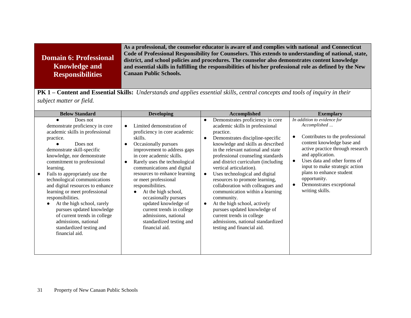|                         | As a professional, the counselor educator is aware of and complies with national and Connecticut           |
|-------------------------|------------------------------------------------------------------------------------------------------------|
| Domain 6: Professional  | Code of Professional Responsibility for Counselors. This extends to understanding of national, state,      |
|                         | district, and school policies and procedures. The counselor also demonstrates content knowledge            |
| <b>Knowledge and</b>    | and essential skills in fulfilling the responsibilities of his/her professional role as defined by the New |
| <b>Responsibilities</b> | <b>Canaan Public Schools.</b>                                                                              |
|                         |                                                                                                            |

**PK 1 – Content and Essential Skills:** *Understands and applies essential skills, central concepts and tools of inquiry in their subject matter or field.*

| <b>Below Standard</b>                                                                                                                                                                                                                                                                                                                                                                                                                                                                                                                       | <b>Developing</b>                                                                                                                                                                                                                                                                                                                                                                                                                                                             | Accomplished                                                                                                                                                                                                                                                                                                                                                                                                                                                                                                                                                                                                                                                                        | <b>Exemplary</b>                                                                                                                                                                                                                                                                                                                                                         |
|---------------------------------------------------------------------------------------------------------------------------------------------------------------------------------------------------------------------------------------------------------------------------------------------------------------------------------------------------------------------------------------------------------------------------------------------------------------------------------------------------------------------------------------------|-------------------------------------------------------------------------------------------------------------------------------------------------------------------------------------------------------------------------------------------------------------------------------------------------------------------------------------------------------------------------------------------------------------------------------------------------------------------------------|-------------------------------------------------------------------------------------------------------------------------------------------------------------------------------------------------------------------------------------------------------------------------------------------------------------------------------------------------------------------------------------------------------------------------------------------------------------------------------------------------------------------------------------------------------------------------------------------------------------------------------------------------------------------------------------|--------------------------------------------------------------------------------------------------------------------------------------------------------------------------------------------------------------------------------------------------------------------------------------------------------------------------------------------------------------------------|
| Does not<br>demonstrate proficiency in core<br>academic skills in professional<br>practice.<br>Does not<br>demonstrate skill-specific<br>knowledge, nor demonstrate<br>commitment to professional<br>learning.<br>Fails to appropriately use the<br>technological communications<br>and digital resources to enhance<br>learning or meet professional<br>responsibilities.<br>At the high school, rarely<br>pursues updated knowledge<br>of current trends in college<br>admissions, national<br>standardized testing and<br>financial aid. | Limited demonstration of<br>proficiency in core academic<br>skills.<br>Occasionally pursues<br>improvement to address gaps<br>in core academic skills.<br>Rarely uses the technological<br>communications and digital<br>resources to enhance learning<br>or meet professional<br>responsibilities.<br>At the high school,<br>occasionally pursues<br>updated knowledge of<br>current trends in college<br>admissions, national<br>standardized testing and<br>financial aid. | Demonstrates proficiency in core<br>$\bullet$<br>academic skills in professional<br>practice.<br>Demonstrates discipline-specific<br>$\bullet$<br>knowledge and skills as described<br>in the relevant national and state<br>professional counseling standards<br>and district curriculum (including<br>vertical articulation).<br>Uses technological and digital<br>$\bullet$<br>resources to promote learning,<br>collaboration with colleagues and<br>communication within a learning<br>community.<br>At the high school, actively<br>$\bullet$<br>pursues updated knowledge of<br>current trends in college<br>admissions, national standardized<br>testing and financial aid. | In addition to evidence for<br>Accomplished<br>Contributes to the professional<br>$\bullet$<br>content knowledge base and<br>active practice through research<br>and application.<br>Uses data and other forms of<br>$\bullet$<br>input to make strategic action<br>plans to enhance student<br>opportunity.<br>Demonstrates exceptional<br>$\bullet$<br>writing skills. |